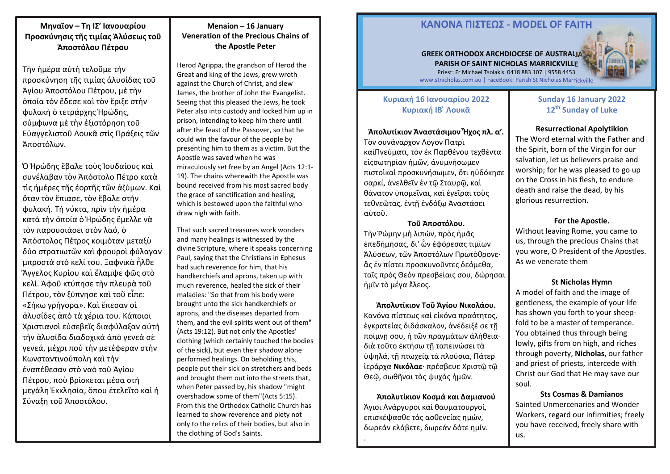# **Μηναῖον – Τη ΙΣ′ Ιανουαρίου Προσκύνησις τῆς τιμίας Ἁλύσεως τοῦ Ἀποστόλου Πέτρου**

Τὴν ἡμέρα αὐτὴ τελοῦμε τὴν προσκύνηση τῆς τιμίας ἁλυσίδας τοῦ Ἁγίου Ἀποστόλου Πέτρου, μὲ τὴν ὁποία τὸν ἔδεσε καὶ τὸν ἔριξε στὴν φυλακὴ ὁ τετράρχης Ἡρώδης, σύμφωνα μὲ τὴν ἐξιστόρηση τοῦ Εὐαγγελιστοῦ Λουκᾶ στὶς Πράξεις τῶν Ἀποστόλων.

Ὁ Ἡρώδης ἔβαλε τοὺς Ἰουδαίους καὶ συνέλαβαν τὸν Ἀπόστολο Πέτρο κατὰ τὶς ἡμέρες τῆς ἑορτῆς τῶν ἀζύμων. Καὶ ὅταν τὸν ἔπιασε, τὸν ἔβαλε στὴν φυλακή. Τὴ νύκτα, πρὶν τὴν ἡμέρα κατὰ τὴν ὁποία ὁ Ἡρώδης ἔμελλε νὰ τὸν παρουσιάσει στὸν λαό, ὁ Ἀπόστολος Πέτρος κοιμόταν μεταξὺ δύο στρατιωτῶν καὶ φρουροὶ φύλαγαν μπροστὰ στὸ κελί του. Ξαφνικὰ ἦλθε Ἄγγελος Κυρίου καὶ ἔλαμψε φῶς στὸ κελί. Ἀφοῦ κτύπησε τὴν πλευρὰ τοῦ Πέτρου, τὸν ξύπνησε καὶ τοῦ εἶπε: «Σήκω γρήγορα». Καὶ ἔπεσαν οἱ ἁλυσίδες ἀπὸ τὰ χέρια του. Κάποιοι Χριστιανοὶ εὐσεβεῖς διαφύλαξαν αὐτὴ τὴν ἁλυσίδα διαδοχικὰ ἀπὸ γενεὰ σὲ γενεά, μέχρι ποὺ τὴν μετέφεραν στὴν Κωνσταντινούπολη καὶ τὴν ἐναπέθεσαν στὸ ναὸ τοῦ Ἁγίου Πέτρου, ποὺ βρίσκεται μέσα στὴ μεγάλη Ἐκκλησία, ὅπου ἐτελεῖτο καὶ ἡ Σύναξη τοῦ Ἀποστόλου.

#### **Menaion – 16 January Veneration of the Precious Chains of the Apostle Peter**

Herod Agrippa, the grandson of Herod the Great and king of the Jews, grew wroth against the Church of Christ, and slew James, the brother of John the Evangelist. Seeing that this pleased the Jews, he took Peter also into custody and locked him up in prison, intending to keep him there until after the feast of the Passover, so that he could win the favour of the people by presenting him to them as a victim. But the Apostle was saved when he was miraculously set free by an Angel (Acts 12:1- 19). The chains wherewith the Apostle was bound received from his most sacred body the grace of sanctification and healing, which is bestowed upon the faithful who draw nigh with faith.

That such sacred treasures work wonders and many healings is witnessed by the divine Scripture, where it speaks concerning Paul, saying that the Christians in Ephesus had such reverence for him, that his handkerchiefs and aprons, taken up with much reverence, healed the sick of their maladies: "So that from his body were brought unto the sick handkerchiefs or aprons, and the diseases departed from them, and the evil spirits went out of them" (Acts 19:12). But not only the Apostles' clothing (which certainly touched the bodies of the sick), but even their shadow alone performed healings. On beholding this, people put their sick on stretchers and beds and brought them out into the streets that, when Peter passed by, his shadow "might overshadow some of them"(Acts 5:15). From this the Orthodox Catholic Church has learned to show reverence and piety not only to the relics of their bodies, but also in only to the relics of their bodies, but also in **in ε**δωρεάν ελάβετε, δωρεάν δότε ημίν. <sup>γου πανε received, freely share with and the clothing of God's Saints.</sup>

4

# **ΚΑΝOΝΑ ΠIΣΤΕΩΣ - MODEL OF FAITH**

#### **GREEK ORTHODOX ARCHDIOCESE OF AUSTRALIA PARISH OF SAINT NICHOLAS MARRICKVILLE** Priest: Fr Michael Tsolakis 0418 883 107 | 9558 4453

www.stnicholas.com.au | FaceBook: Parish St Nicholas Marrickville

### **Κυριακή 16 Ιανουαρίου 2022 Κυριακή ΙΒ ໄ Λουκᾶ**

**Ἀπολυτίκιον Ἀναστάσιμον Ἦχος πλ. α′.**  Τὸν συνάναρχον Λόγον Πατρὶ καὶΠνεύματι, τὸν ἐκ Παρθένου τεχθέντα εἰςσωτηρίαν ἡμῶν, ἀνυμνήσωμεν πιστοὶκαὶ προσκυνήσωμεν, ὅτι ηὐδόκησε σαρκί, ἀνελθεῖν ἐν τῷ Σταυρῷ, καὶ θάνατον ὑπομεῖναι, καὶ ἐγεῖραι τοὺς τεθνεῶτας, ἐντῇ ἐνδόξῳ Ἀναστάσει αὐτοῦ.

#### **Τοῦ Ἀποστόλου.**

Τὴν Ῥώμην μὴ λιπών, πρὸς ἡμᾶς ἐπεδήμησας, δι' ὧν ἐφόρεσας τιμίων Ἀλύσεων, τῶν Ἀποστόλων Πρωτόθρονε· ἃς ἐν πίστει προσκυνοῦντες δεόμεθα, ταῖς πρὸς Θεὸν πρεσβείαις σου, δώρησαι ἡμῖν τὸ μέγα ἔλεος.

**Ἀπολυτίκιον Τοῦ Ἁγίου Νικολάου.**  Κανόνα πίστεως καὶ εἰκόνα πραότητος, ἐγκρατείας διδάσκαλον, ἀνέδειξέ σε τῇ ποίμνῃ σου, ἡ τῶν πραγμάτων ἀλήθεια· διὰ τοῦτο ἐκτήσω τῇ ταπεινώσει τὰ ὑψηλά, τῇ πτωχείᾳ τὰ πλούσια, Πάτερ ἱεράρχα **Νικόλαε**· πρέσβευε Χριστῷ τῷ Θεῷ, σωθῆναι τὰς ψυχὰς ἡμῶν.

**Ἀπολυτίκιον Κοσμά και Δαμιανού**  Άγιοι Ανάργυροι καί θαυματουργοί, επισκέψασθε τάς ασθενείας ημών,

# **Sunday 16 January 2022 <sup>12</sup>th Sunday of Luke**

mm

#### **Resurrectional Apolytikion**

**T**he Word eternal with the Father and the Spirit, born of the Virgin for our salvation, let us believers praise and worship; for he was pleased to go up on the Cross in his flesh, to endure death and raise the dead, by his glorious resurrection.

#### **For the Apostle.**

Without leaving Rome, you came to us, through the precious Chains that you wore, O President of the Apostles. As we venerate them

#### **St Nicholas Hymn**

A model of faith and the image of gentleness, the example of your life has shown you forth to your sheepfold to be a master of temperance. You obtained thus through being lowly, gifts from on high, and riches through poverty, **Nicholas**, our father and priest of priests, intercede with Christ our God that He may save our soul.

#### **Sts Cosmas & Damianos**

Sainted Unmercenaries and Wonder Workers, regard our infirmities; freely you have received, freely share with us.